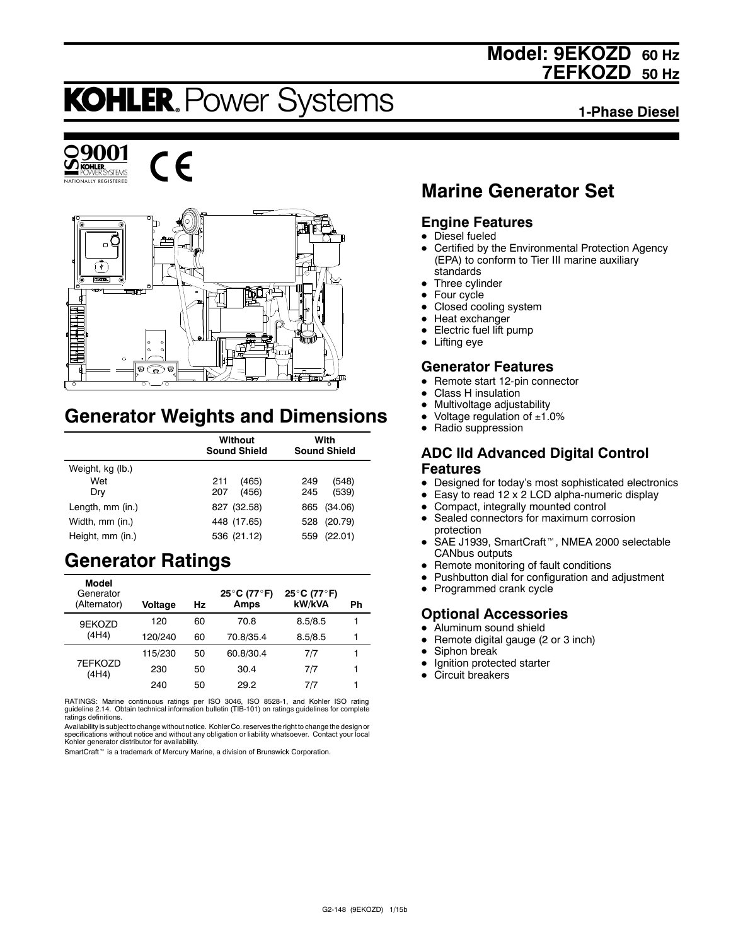## **Model: 9EKOZD 60 Hz 7EFKOZD 50 Hz**

# **KOHLER. Power Systems**

**1-Phase Diesel**







## **Generator Weights and Dimensions**

|                  | Without<br><b>Sound Shield</b> | With<br><b>Sound Shield</b> |  |
|------------------|--------------------------------|-----------------------------|--|
| Weight, kg (lb.) |                                |                             |  |
| Wet              | 211<br>(465)                   | (548)<br>249                |  |
| Dry              | 207<br>(456)                   | (539)<br>245                |  |
| Length, mm (in.) | 827 (32.58)                    | (34.06)<br>865              |  |
| Width, mm (in.)  | 448 (17.65)                    | (20.79)<br>528              |  |
| Height, mm (in.) | 536 (21.12)                    | (22.01)<br>559              |  |

## **Generator Ratings**

| Model<br>Generator<br>(Alternator) | <b>Voltage</b> | Hz | 25°C (77°F)<br>Amps | 25°C (77°F)<br>kW/kVA | Ph |
|------------------------------------|----------------|----|---------------------|-----------------------|----|
| 9EKOZD                             | 120            | 60 | 70.8                | 8.5/8.5               | 1  |
| (4H4)                              | 120/240        | 60 | 70.8/35.4           | 8.5/8.5               | 1  |
|                                    | 115/230        | 50 | 60.8/30.4           | 7/7                   |    |
| 7EFKOZD<br>(4H4)                   | 230            | 50 | 30.4                | 7/7                   | 1  |
|                                    | 240            | 50 | 29.2                | 7/7                   | 1  |

RATINGS: Marine continuous ratings per ISO 3046, ISO 8528-1, and Kohler ISO rating guideline 2.14. Obtain technical information bulletin (TIB-101) on ratings guidelines for complete ratings definitions.

Availability is subject to change without notice. Kohler Co. reserves the right to change the design or<br>specifications without notice and without any obligation or liability whatsoever. Contact your local<br>Kohler generator

SmartCraft<sup>™</sup> is a trademark of Mercury Marine, a division of Brunswick Corporation.

## **Marine Generator Set**

### **Engine Features**

- $\bullet$  Diesel fueled
- Certified by the Environmental Protection Agency (EPA) to conform to Tier III marine auxiliary standards
- $\bullet$  Three cylinder
- $\bullet$  Four cycle
- Closed cooling system
- $\bullet$  Heat exchanger
- Electric fuel lift pump
- $\bullet$  Lifting eye

### **Generator Features**

- Remote start 12-pin connector
- Class H insulation
- Multivoltage adjustability
- Voltage regulation of  $±1.0\%$
- Radio suppression

#### **ADC IId Advanced Digital Control Features**

- Designed for today's most sophisticated electronics
- $\bullet$  Easy to read 12 x 2 LCD alpha-numeric display
- Compact, integrally mounted control
- Sealed connectors for maximum corrosion protection
- SAE J1939, SmartCraft<sup>™</sup>, NMEA 2000 selectable CANbus outputs
- Remote monitoring of fault conditions
- Pushbutton dial for configuration and adjustment
- Programmed crank cycle

#### **Optional Accessories**

- Aluminum sound shield
- Remote digital gauge (2 or 3 inch)
- $\bullet$  Siphon break
- $\bullet$  Ignition protected starter
- Circuit breakers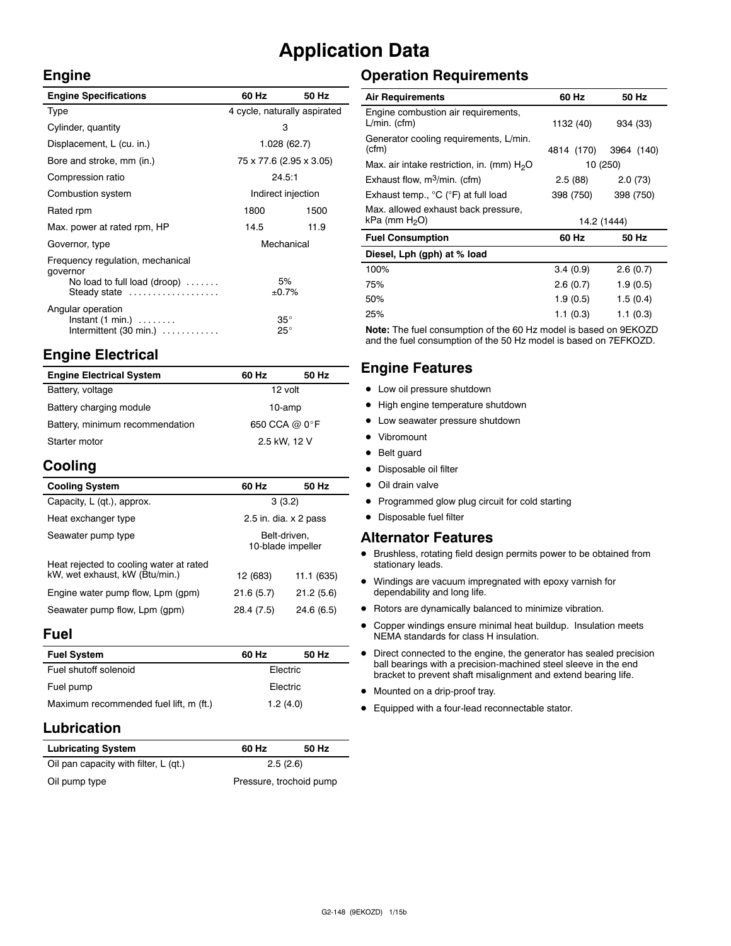## **Application Data**

#### **Engine**

| <b>Engine Specifications</b>                                                                                 | 60 Hz                        | 50 Hz |
|--------------------------------------------------------------------------------------------------------------|------------------------------|-------|
| Type                                                                                                         | 4 cycle, naturally aspirated |       |
| Cylinder, quantity                                                                                           | 3                            |       |
| Displacement, L (cu. in.)                                                                                    | 1.028(62.7)                  |       |
| Bore and stroke, mm (in.)                                                                                    | 75 x 77.6 (2.95 x 3.05)      |       |
| Compression ratio                                                                                            | 24.5:1                       |       |
| Combustion system                                                                                            | Indirect injection           |       |
| Rated rpm                                                                                                    | 1800                         | 1500  |
| Max. power at rated rpm, HP                                                                                  | 14.5                         | 11.9  |
| Governor, type                                                                                               | Mechanical                   |       |
| Frequency regulation, mechanical<br>governor<br>No load to full load (droop) $\ldots \ldots$<br>Steady state | 5%<br>±0.7%                  |       |
| Angular operation<br>$Instant (1 min.) \dots \dots$<br>Intermittent $(30 \text{ min.}) \dots \dots \dots$    | $35^{\circ}$<br>$25^{\circ}$ |       |

## **Engine Electrical**

| <b>Engine Electrical System</b> | 60 Hz         | 50 Hz |
|---------------------------------|---------------|-------|
| Battery, voltage                | 12 volt       |       |
| Battery charging module         | 10-amp        |       |
| Battery, minimum recommendation | 650 CCA @ 0°F |       |
| Starter motor                   | 2.5 kW, 12 V  |       |

## **Cooling**

| <b>Cooling System</b>                                                     | 60 Hz                             | 50 Hz      |
|---------------------------------------------------------------------------|-----------------------------------|------------|
| Capacity, L (qt.), approx.                                                | 3(3.2)                            |            |
| Heat exchanger type                                                       | 2.5 in. dia. $\times$ 2 pass      |            |
| Seawater pump type                                                        | Belt-driven.<br>10-blade impeller |            |
| Heat rejected to cooling water at rated<br>kW, wet exhaust, kW (Btu/min.) | 12 (683)                          | 11.1 (635) |
| Engine water pump flow, Lpm (gpm)                                         | 21.6(5.7)                         | 21.2(5.6)  |
| Seawater pump flow, Lpm (gpm)                                             | 28.4 (7.5)                        | 24.6(6.5)  |

#### **Fuel**

| <b>Fuel System</b>                     | 60 Hz    | 50 Hz |
|----------------------------------------|----------|-------|
| Fuel shutoff solenoid                  | Electric |       |
| Fuel pump                              | Electric |       |
| Maximum recommended fuel lift, m (ft.) | 1.2(4.0) |       |

## **Lubrication**

| <b>Lubricating System</b>             | 60 Hz                   | 50 Hz |
|---------------------------------------|-------------------------|-------|
| Oil pan capacity with filter, L (qt.) | 2.5(2.6)                |       |
| Oil pump type                         | Pressure, trochoid pump |       |

## **Operation Requirements**

| <b>Air Requirements</b>                                          | 60 Hz       | 50 Hz      |
|------------------------------------------------------------------|-------------|------------|
| Engine combustion air requirements,<br>$L/min.$ (cfm)            | 1132 (40)   | 934 (33)   |
| Generator cooling requirements, L/min.<br>(cfm)                  | 4814 (170)  | 3964 (140) |
| Max. air intake restriction, in. (mm) $H2O$                      | 10 (250)    |            |
| Exhaust flow, $m^3/m$ in. (cfm)                                  | 2.5 (88)    | 2.0(73)    |
| Exhaust temp., °C (°F) at full load                              | 398 (750)   | 398 (750)  |
| Max. allowed exhaust back pressure,<br>kPa (mm H <sub>2</sub> O) | 14.2 (1444) |            |
| <b>Fuel Consumption</b>                                          | 60 Hz       | 50 Hz      |
| Diesel, Lph (gph) at % load                                      |             |            |
| 100%                                                             | 3.4(0.9)    | 2.6(0.7)   |
| 75%                                                              | 2.6(0.7)    | 1.9(0.5)   |
| 50%                                                              | 1.9(0.5)    | 1.5(0.4)   |
| 25%                                                              | 1.1(0.3)    | 1.1(0.3)   |

**Note:** The fuel consumption of the 60 Hz model is based on 9EKOZD and the fuel consumption of the 50 Hz model is based on 7EFKOZD.

### **Engine Features**

- Low oil pressure shutdown
- High engine temperature shutdown
- Low seawater pressure shutdown
- Vibromount
- Belt guard
- Disposable oil filter
- Oil drain valve
- Programmed glow plug circuit for cold starting
- Disposable fuel filter

#### **Alternator Features**

- $\bullet$  Brushless, rotating field design permits power to be obtained from stationary leads.
- $\bullet$  Windings are vacuum impregnated with epoxy varnish for dependability and long life.
- $\bullet$  Rotors are dynamically balanced to minimize vibration.
- Copper windings ensure minimal heat buildup. Insulation meets NEMA standards for class H insulation.
- Direct connected to the engine, the generator has sealed precision ball bearings with a precision-machined steel sleeve in the end bracket to prevent shaft misalignment and extend bearing life.
- $\bullet$  Mounted on a drip-proof tray.
- $\bullet$  Equipped with a four-lead reconnectable stator.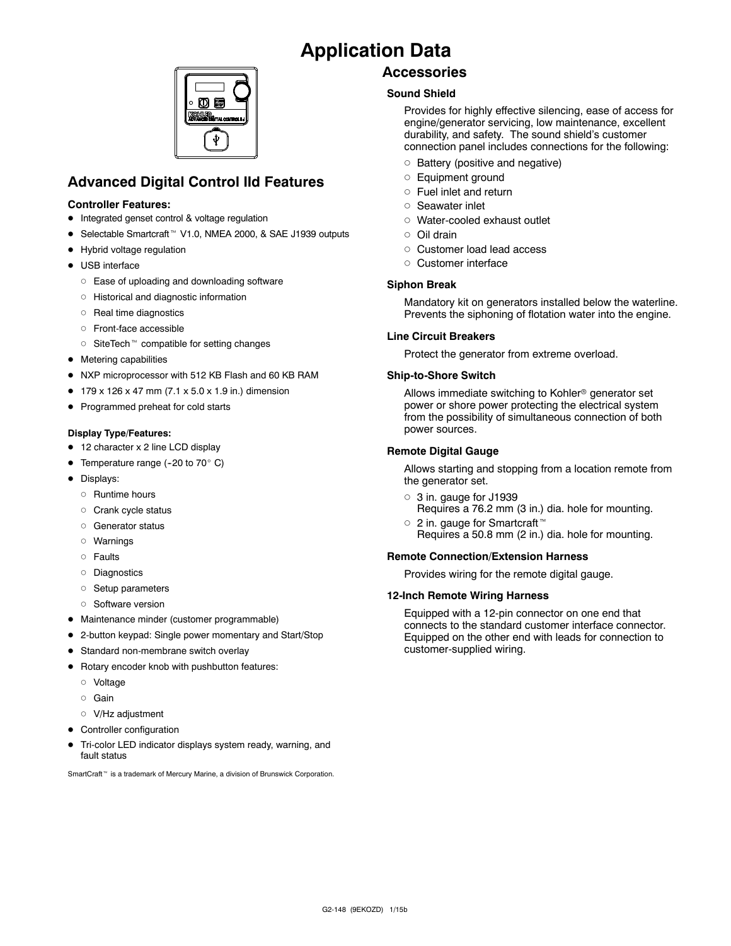## **Application Data**



## **Advanced Digital Control IId Features**

#### **Controller Features:**

- Integrated genset control & voltage regulation
- Selectable Smartcraft<sup>™</sup> V1.0, NMEA 2000, & SAE J1939 outputs
- Hybrid voltage regulation
- USB interface
	- o Ease of uploading and downloading software
	- d Historical and diagnostic information
	- o Real time diagnostics
	- d Front-face accessible
	- $\circ$  SiteTech<sup>\*</sup> compatible for setting changes
- $\bullet$  Metering capabilities
- NXP microprocessor with 512 KB Flash and 60 KB RAM
- $\bullet$  179 x 126 x 47 mm (7.1 x 5.0 x 1.9 in.) dimension
- Programmed preheat for cold starts

#### **Display Type/Features:**

- 12 character x 2 line LCD display
- Temperature range (-20 to 70 $^{\circ}$  C)
- Displays:
	- o Runtime hours
	- o Crank cycle status
	- o Generator status
	- d Warnings
	- o Faults
	- o Diagnostics
	- o Setup parameters
	- o Software version
- Maintenance minder (customer programmable)
- 2-button keypad: Single power momentary and Start/Stop
- **•** Standard non-membrane switch overlay
- $\bullet$  Rotary encoder knob with pushbutton features:
	- d Voltage
	- o Gain
	- o V/Hz adjustment
- Controller configuration
- Tri-color LED indicator displays system ready, warning, and fault status

SmartCraft<sup>™</sup> is a trademark of Mercury Marine, a division of Brunswick Corporation.

### **Accessories**

#### **Sound Shield**

Provides for highly effective silencing, ease of access for engine/generator servicing, low maintenance, excellent durability, and safety. The sound shield's customer connection panel includes connections for the following:

- o Battery (positive and negative)
- o Equipment ground
- $\circ$  Fuel inlet and return
- o Seawater inlet
- o Water-cooled exhaust outlet
- d Oil drain
- o Customer load lead access
- o Customer interface

#### **Siphon Break**

Mandatory kit on generators installed below the waterline. Prevents the siphoning of flotation water into the engine.

#### **Line Circuit Breakers**

Protect the generator from extreme overload.

#### **Ship-to-Shore Switch**

Allows immediate switching to Kohler<sup>®</sup> generator set power or shore power protecting the electrical system from the possibility of simultaneous connection of both power sources.

#### **Remote Digital Gauge**

Allows starting and stopping from a location remote from the generator set.

- $\circ$  3 in. gauge for J1939 Requires a 76.2 mm (3 in.) dia. hole for mounting.
- $\circ$  2 in. gauge for Smartcraft<sup>™</sup> Requires a 50.8 mm (2 in.) dia. hole for mounting.

#### **Remote Connection/Extension Harness**

Provides wiring for the remote digital gauge.

#### **12-Inch Remote Wiring Harness**

Equipped with a 12-pin connector on one end that connects to the standard customer interface connector. Equipped on the other end with leads for connection to customer-supplied wiring.